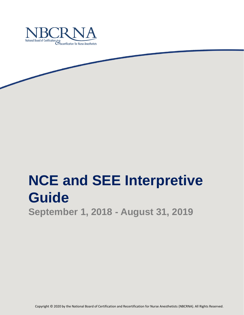

# **NCE and SEE Interpretive Guide**

**September 1, 2018 - August 31, 2019**

Copyright © 2020 by the National Board of Certification and Recertification for Nurse Anesthetists (NBCRNA). All Rights Reserved.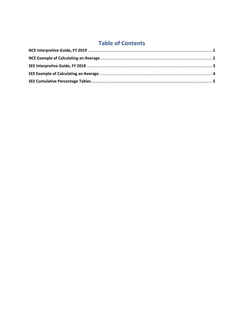## **Table of Contents**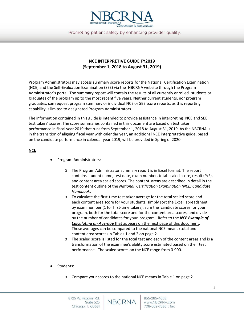

Promoting patient safety by enhancing provider quality.

## **NCE INTERPRETIVE GUIDE FY2019 (September 1, 2018 to August 31, 2019)**

Program Administrators may access summary score reports for the National Certification Examination (NCE) and the Self-Evaluation Examination (SEE) via the NBCRNA website through the Program Administrator's portal. The summary report will contain the results of all currently enrolled students or graduates of the program up to the most recent five years. Neither current students, nor program graduates, can request program summary or individual NCE or SEE score reports, as this reporting capability is limited to designated Program Administrators.

The information contained in this guide is intended to provide assistance in interpreting NCE and SEE test takers' scores. The score summaries contained in this document are based on test taker performance in fiscal year 2019 that runs from September 1, 2018 to August 31, 2019. As the NBCRNA is in the transition of aligning fiscal year with calendar year, an additional NCE interpretative guide, based on the candidate performance in calendar year 2019, will be provided in Spring of 2020.

#### **NCE**

- Program Administrators:
	- o The Program Administrator summary report is in Excel format. The report contains student name, test date, exam number, total scaled score, result (P/F), and content area scaled scores. The content areas are described in detail in the test content outline of the *National Certification Examination (NCE) Candidate Handbook*.
	- o To calculate the first-time test taker average for the total scaled score and each content area score for your students, simply sort the Excel spreadsheet by exam number (1 for first-time takers), sum the candidate scores for your program, both for the total score and for the content area scores, and divide by the number of candidates for your program. Refer to the *NCE Example of Calculating an Average* that appears on the next page of this document. These averages can be compared to the national NCE means (total and content area scores) in Tables 1 and 2 on page 2*.*
	- The scaled score is listed for the total test and each of the content areas and is a transformation of the examinee's ability score estimated based on their test performance. The scaled scores on the NCE range from 0-900.
- Students:
	- o Compare your scores to the national NCE means in Table 1 on page 2*.*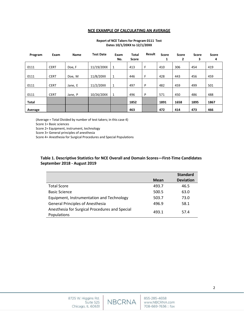#### **NCE EXAMPLE OF CALCULATING AN AVERAGE**

#### **Report of NCE Takers for Program 0111 Test Dates 10/1/20XX to 12/1/20XX**

| Program      | Exam        | Name    | <b>Test Date</b> | Exam<br>No. | <b>Total</b><br>Score | Result | <b>Score</b><br>1 | Score<br>2 | Score<br>3 | <b>Score</b><br>4 |
|--------------|-------------|---------|------------------|-------------|-----------------------|--------|-------------------|------------|------------|-------------------|
| 0111         | <b>CERT</b> | Doe, F  | 11/19/20XX       | 1           | 413                   | F      | 410               | 306        | 454        | 419               |
| 0111         | <b>CERT</b> | Doe, M  | 11/8/20XX        | 1           | 446                   | F      | 428               | 443        | 456        | 459               |
| 0111         | <b>CERT</b> | Jane, E | 11/2/20XX        | 1           | 497                   | P      | 482               | 459        | 499        | 501               |
| 0111         | <b>CERT</b> | Jane, P | 10/26/20XX       | 1           | 496                   | P      | 571               | 450        | 486        | 488               |
| <b>Total</b> |             |         |                  |             | 1852                  |        | 1891              | 1658       | 1895       | 1867              |
| Average      |             |         |                  |             | 463                   |        | 472               | 414        | 473        | 466               |

(Average = Total Divided by number of test takers; in this case 4)

Score 1= Basic sciences

Score 2= Equipment, instrument, technology

Score 3= General principles of anesthesia

Score 4= Anesthesia for Surgical Procedures and Special Populations

#### **Table 1. Descriptive Statistics for NCE Overall and Domain Scores—First-Time Candidates September 2018 - August 2019**

|                                                |             | <b>Standard</b>  |
|------------------------------------------------|-------------|------------------|
|                                                | <b>Mean</b> | <b>Deviation</b> |
| <b>Total Score</b>                             | 493.7       | 46.5             |
| <b>Basic Science</b>                           | 500.5       | 63.0             |
| Equipment, Instrumentation and Technology      | 503.7       | 73.0             |
| <b>General Principles of Anesthesia</b>        | 496.9       | 58.1             |
| Anesthesia for Surgical Procedures and Special | 493.1       | 57.4             |
| Populations                                    |             |                  |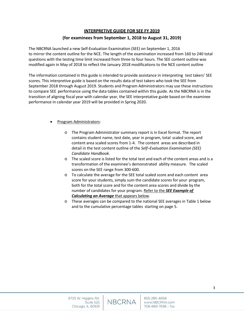#### **INTERPRETIVE GUIDE FOR SEE FY 2019**

#### **(for examinees from September 1, 2018 to August 31, 2019)**

The NBCRNA launched a new Self-Evaluation Examination (SEE) on September 1, 2016 to mirror the content outline for the NCE. The length of the examination increased from 160 to 240 total questions with the testing time limit increased from three to four hours. The SEE content outline was modified again in May of 2018 to reflect the January 2018 modifications to the NCE content outline

The information contained in this guide is intended to provide assistance in interpreting test takers' SEE scores. This interpretive guide is based on the results data of test takers who took the SEE from September 2018 through August 2019. Students and Program Administrators may use these instructions to compare SEE performance using the data tables contained within this guide*.* As the NBCRNA is in the transition of aligning fiscal year with calendar year, the SEE interpretative guide based on the examinee performance in calendar year 2019 will be provided in Spring 2020.

#### • Program Administrators:

- o The Program Administrator summary report is in Excel format. The report contains student name, test date, year in program, total scaled score, and content area scaled scores from 1-4. The content areas are described in detail in the test content outline of the *Self–Evaluation Examination (SEE) Candidate Handbook*.
- o The scaled score is listed for the total test and each of the content areas and is a transformation of the examinee's demonstrated ability measure. The scaled scores on the SEE range from 300-600.
- o To calculate the average for the SEE total scaled score and each content area score for your students, simply sum the candidate scores for your program, both for the total score and for the content area scores and divide by the number of candidates for your program. Refer to the *SEE Example of Calculating an Average* that appears below.
- o These averages can be compared to the national SEE averages in Table 1 below and to the cumulative percentage tables starting on page 5.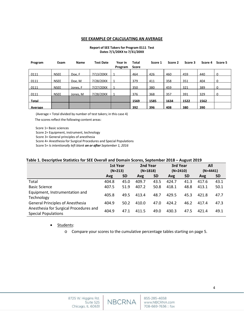#### **SEE EXAMPLE OF CALCULATING AN AVERAGE**

#### **Report of SEE Takers for Program 0111 Test Dates 7/1/20XX to 7/31/20XX**

| Program | Exam        | <b>Name</b> | <b>Test Date</b> | Year in<br>Program | Total<br>Score | Score 1 | Score 2 | Score 3 | Score 4 | Score 5 |
|---------|-------------|-------------|------------------|--------------------|----------------|---------|---------|---------|---------|---------|
| 0111    | <b>NSEE</b> | Doe, F      | 7/13/20XX        |                    | 464            | 426     | 460     | 459     | 440     | 0       |
| 0111    | <b>NSEE</b> | Doe. M      | 7/28/20XX        |                    | 379            | 411     | 358     | 351     | 404     |         |
| 0111    | <b>NSEE</b> | Jones, F    | 7/27/20XX        |                    | 350            | 380     | 459     | 321     | 389     | 0       |
| 0111    | <b>NSEE</b> | Jones, M    | 7/28/20XX        |                    | 376            | 368     | 357     | 391     | 329     |         |
| Total   |             |             |                  |                    | 1569           | 1585    | 1634    | 1522    | 1562    |         |
| Average |             |             |                  |                    | 392            | 396     | 408     | 380     | 390     |         |

(Average = Total divided by number of test takers; in this case 4)

The scores reflect the following content areas:

Score 1= Basic sciences

Score 2= Equipment, instrument, technology

Score 3= General principles of anesthesia

Score 4= Anesthesia for Surgical Procedures and Special Populations

Score 5= *Is intentionally left blank on or after September 1, 2016*

#### **Table 1. Descriptive Statistics for SEE Overall and Domain Scores, September 2018 – August 2019**

|                                                                      | <b>1st Year</b><br>$(N=213)$ |           | 2nd Year<br>$(N=1818)$ |           | 3rd Year<br>$(N=2410)$ |           | All<br>$(N=4441)$ |           |
|----------------------------------------------------------------------|------------------------------|-----------|------------------------|-----------|------------------------|-----------|-------------------|-----------|
|                                                                      |                              |           |                        |           |                        |           |                   |           |
|                                                                      | Avg                          | <b>SD</b> | Avg                    | <b>SD</b> | Avg                    | <b>SD</b> | Avg               | <b>SD</b> |
| Total                                                                | 404.8                        | 45.0      | 409.7                  | 43.5      | 424.7                  | 41.3      | 417.6             | 43.1      |
| <b>Basic Science</b>                                                 | 407.5                        | 51.9      | 407.2                  | 50.8      | 418.1                  | 48.8      | 413.1             | 50.1      |
| Equipment, Instrumentation and<br>Technology                         | 405.8                        | 49.5      | 413.4                  | 48.7      | 429.5                  | 45.3      | 421.8             | 47.7      |
| <b>General Principles of Anesthesia</b>                              | 404.9                        | 50.2      | 410.0                  | 47.0      | 424.2                  | 46.2      | 417.4             | 47.3      |
| Anesthesia for Surgical Procedures and<br><b>Special Populations</b> | 404.9                        | 47.1      | 411.5                  | 49.0      | 430.3                  | 47.5      | 421.4             | 49.1      |

• Students:

o Compare your scores to the cumulative percentage tables starting on page 5.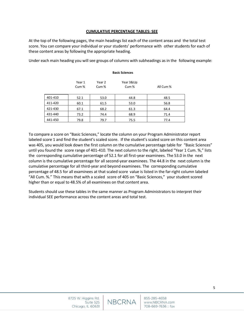#### **CUMULATIVE PERCENTAGE TABLES: SEE**

At the top of the following pages, the main headings list each of the content areas and the total test score. You can compare your individual or your students' performance with other students for each of these content areas by following the appropriate heading.

Under each main heading you will see groups of columns with subheadings as in the following example:

|         | <b>Basic Sciences</b>      |                            |                   |           |  |  |
|---------|----------------------------|----------------------------|-------------------|-----------|--|--|
|         | Year 1<br>Cum <sup>%</sup> | Year 2<br>Cum <sup>%</sup> | Year 3&Up<br>Cum% | All Cum % |  |  |
| 401-410 | 52.1                       | 53.0                       | 44.8              | 48.5      |  |  |
| 411-420 | 60.1                       | 61.5                       | 53.0              | 56.8      |  |  |
| 421-430 | 67.1                       | 68.2                       | 61.3              | 64.4      |  |  |
| 431-440 | 73.2                       | 74.4                       | 68.9              | 71.4      |  |  |
| 441-450 | 79.8                       | 79.7                       | 75.5              | 77.4      |  |  |
|         |                            |                            |                   |           |  |  |

To compare a score on "Basic Sciences," locate the column on your Program Administrator report labeled score 1 and find the student's scaled score. If the student's scaled score on this content area was 405, you would look down the first column on the cumulative percentage table for "Basic Sciences" until you found the score range of 401-410. The next column to the right, labeled "Year 1 Cum. %," lists the corresponding cumulative percentage of 52.1 for all first-year examinees. The 53.0 in the next column is the cumulative percentage for all second-year examinees. The 44.8 in the next column is the cumulative percentage for all third-year and beyond examinees. The corresponding cumulative percentage of 48.5 for all examinees at that scaled score value is listed in the far-right column labeled "All Cum. %." This means that with a scaled score of 405 on "Basic Sciences," your student scored higher than or equal to 48.5% of all examinees on that content area.

Students should use these tables in the same manner as Program Administrators to interpret their individual SEE performance across the content areas and total test.

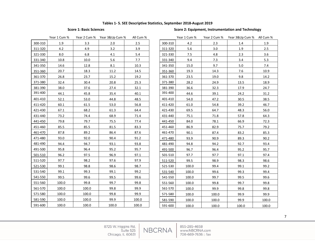#### **Tables 1- 5. SEE Descriptive Statistics, September 2018-August 2019**

### **Score 1: Basic Sciences** Score 2: Equipment, Instrumentation and Technology

|         | Year 1 Cum % | Year 2 Cum % | Year 3&Up Cum % | All Cum % |
|---------|--------------|--------------|-----------------|-----------|
| 300-310 | 1.9          | 3.3          | 2.0             | 2.5       |
| 311-320 | 4.2          | 4.9          | 3.2             | 3.9       |
| 321-330 | 8.0          | 6.8          | 4.1             | 5.4       |
| 331-340 | 10.8         | 10.0         | 5.6             | 7.7       |
| 341-350 | 14.6         | 12.8         | 8.1             | 10.3      |
| 351-360 | 20.7         | 18.3         | 11.2            | 14.5      |
| 361-370 | 26.8         | 23.7         | 15.2            | 19.2      |
| 371-380 | 32.4         | 30.4         | 20.8            | 25.3      |
| 381-390 | 38.0         | 37.6         | 27.4            | 32.1      |
| 391-400 | 44.1         | 45.8         | 35.4            | 40.1      |
| 401-410 | 52.1         | 53.0         | 44.8            | 48.5      |
| 411-420 | 60.1         | 61.5         | 53.0            | 56.8      |
| 421-430 | 67.1         | 68.2         | 61.3            | 64.4      |
| 431-440 | 73.2         | 74.4         | 68.9            | 71.4      |
| 441-450 | 79.8         | 79.7         | 75.5            | 77.4      |
| 451-460 | 85.5         | 85.5         | 81.5            | 83.3      |
| 461-470 | 87.8         | 89.2         | 86.4            | 87.6      |
| 471-480 | 93.0         | 92.0         | 90.4            | 91.2      |
| 481-490 | 94.4         | 94.7         | 93.1            | 93.8      |
| 491-500 | 95.8         | 96.4         | 95.2            | 95.7      |
| 501-510 | 96.2         | 97.5         | 96.9            | 97.1      |
| 511-520 | 97.7         | 98.2         | 97.6            | 97.9      |
| 521-530 | 99.1         | 98.8         | 98.6            | 98.7      |
| 531-540 | 99.1         | 99.3         | 99.1            | 99.2      |
| 541-550 | 99.5         | 99.6         | 99.5            | 99.6      |
| 551-560 | 100.0        | 99.8         | 99.7            | 99.8      |
| 561-570 | 100.0        | 100.0        | 99.8            | 99.9      |
| 571-580 | 100.0        | 100.0        | 99.8            | 99.9      |
| 581-590 | 100.0        | 100.0        | 99.9            | 100.0     |
| 591-600 | 100.0        | 100.0        | 100.0           | 100.0     |

| Year 1 Cum % |       | Year 2 Cum % Year 3&Up Cum % | All Cum % |             | Year 1 Cum % |       | Year 2 Cum % Year 3&Up Cum % All Cum % |       |
|--------------|-------|------------------------------|-----------|-------------|--------------|-------|----------------------------------------|-------|
| 1.9          | 3.3   | 2.0                          | 2.5       | 300-310     | 4.2          | 2.3   | 1.4                                    | 1.9   |
| 4.2          | 4.9   | 3.2                          | 3.9       | 311-320     | 5.6          | 3.0   | 1.9                                    | 2.5   |
| 8.0          | 6.8   | 4.1                          | 5.4       | 321-330     | 7.5          | 4.8   | 2.3                                    | 3.6   |
| 10.8         | 10.0  | 5.6                          | 7.7       | 331-340     | 9.4          | 7.3   | 3.4                                    | 5.3   |
| 14.6         | 12.8  | 8.1                          | 10.3      | 341-350     | 15.0         | 9.7   | 5.0                                    | 7.4   |
| 20.7         | 18.3  | 11.2                         | 14.5      | 351-360     | 19.3         | 14.3  | 7.6                                    | 10.9  |
| 26.8         | 23.7  | 15.2                         | 19.2      | 361-370     | 23.5         | 19.0  | 9.8                                    | 14.2  |
| 32.4         | 30.4  | 20.8                         | 25.3      | 371-380     | 28.2         | 24.9  | 13.5                                   | 18.9  |
| 38.0         | 37.6  | 27.4                         | 32.1      | 381-390     | 36.6         | 32.3  | 17.9                                   | 24.7  |
| 44.1         | 45.8  | 35.4                         | 40.1      | 391-400     | 44.6         | 39.1  | 24.2                                   | 31.2  |
| 52.1         | 53.0  | 44.8                         | 48.5      | 401-410     | 54.0         | 47.2  | 30.5                                   | 38.5  |
| 60.1         | 61.5  | 53.0                         | 56.8      | 411-420     | 61.0         | 54.8  | 39.2                                   | 46.7  |
| 67.1         | 68.2  | 61.3                         | 64.4      | 421-430     | 69.5         | 64.7  | 48.3                                   | 56.0  |
| 73.2         | 74.4  | 68.9                         | 71.4      | 431-440     | 75.1         | 71.8  | 57.8                                   | 64.3  |
| 79.8         | 79.7  | 75.5                         | 77.4      | 441-450     | 84.0         | 78.1  | 66.9                                   | 72.3  |
| 85.5         | 85.5  | 81.5                         | 83.3      | 451-460     | 86.9         | 82.9  | 75.7                                   | 79.2  |
| 87.8         | 89.2  | 86.4                         | 87.6      | 461-470     | 90.1         | 87.4  | 83.2                                   | 85.3  |
| 93.0         | 92.0  | 90.4                         | 91.2      | 471-480     | 93.9         | 90.9  | 89.3                                   | 90.2  |
| 94.4         | 94.7  | 93.1                         | 93.8      | 481-490     | 94.8         | 94.2  | 92.7                                   | 93.4  |
| 95.8         | 96.4  | 95.2                         | 95.7      | 491-500     | 96.7         | 96.4  | 95.2                                   | 95.7  |
| 96.2         | 97.5  | 96.9                         | 97.1      | $501 - 510$ | 97.7         | 97.7  | 97.1                                   | 97.4  |
| 97.7         | 98.2  | 97.6                         | 97.9      | 511-520     | 99.5         | 98.9  | 98.3                                   | 98.6  |
| 99.1         | 98.8  | 98.6                         | 98.7      | 521-530     | 100.0        | 99.4  | 99.1                                   | 99.2  |
| 99.1         | 99.3  | 99.1                         | 99.2      | 531-540     | 100.0        | 99.6  | 99.3                                   | 99.4  |
| 99.5         | 99.6  | 99.5                         | 99.6      | 541-550     | 100.0        | 99.7  | 99.5                                   | 99.6  |
| 100.0        | 99.8  | 99.7                         | 99.8      | 551-560     | 100.0        | 99.8  | 99.7                                   | 99.8  |
| 100.0        | 100.0 | 99.8                         | 99.9      | 561-570     | 100.0        | 99.9  | 99.8                                   | 99.8  |
| 100.0        | 100.0 | 99.8                         | 99.9      | 571-580     | 100.0        | 100.0 | 99.9                                   | 99.9  |
| 100.0        | 100.0 | 99.9                         | 100.0     | 581-590     | 100.0        | 100.0 | 99.9                                   | 100.0 |
| 100.0        | 100.0 | 100.0                        | 100.0     | 591-600     | 100.0        | 100.0 | 100.0                                  | 100.0 |

8725 W. Higgins Rd.<br>Suite 525 Chicago, IL 60631

855-285-4658 www.NBCRNA.com 708-669-7636 :: fax

**NBCRNA**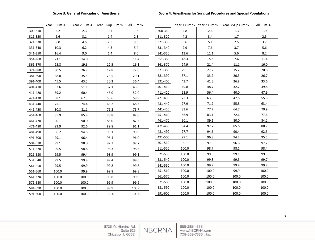#### **Score 3: General Principles of Anesthesia Score 4: Anesthesia for Surgical Procedures and Special Populations**

|         | Year 1 Cum % |       | Year 2 Cum % Year 3&Up Cum % | All Cum % |         |       |          | Year 1 Cum % Year 2 Cum % Year 3&Up Cum % | All Cum % |
|---------|--------------|-------|------------------------------|-----------|---------|-------|----------|-------------------------------------------|-----------|
| 300-310 | 5.2          | 2.3   | 0.7                          | $1.6\,$   | 300-310 | 2.8   | 2.6      | 1.3                                       | 1.9       |
| 311-320 | 6.6          | 3.1   | 1.4                          | 2.3       | 311-320 | 4.2   | 3.4      | 1.7                                       | 2.5       |
| 321-330 | 8.0          | 4.5   | 2.5                          | 3.6       | 321-330 | 6.6   | 5.1      | 2.5                                       | 3.7       |
| 331-340 | 10.3         | $6.2$ | 4.3                          | 5.4       | 331-340 | 9.9   | 7.6      | 3.7                                       | 5.6       |
| 341-350 | 16.4         | 9.0   | 6.4                          | $8.0\,$   | 341-350 | 13.6  | $11.1\,$ | 5.6                                       | 8.2       |
| 351-360 | 21.1         | 14.0  | 8.6                          | 11.4      | 351-360 | 18.3  | 15.6     | 7.6                                       | 11.4      |
| 361-370 | 25.8         | 19.6  | 12.5                         | 16.1      | 361-370 | 24.9  | 21.4     | 11.1                                      | 16.0      |
| 371-380 | 30.5         | 26.7  | 17.8                         | 22.0      | 371-380 | 29.1  | 27.2     | 15.2                                      | 20.8      |
| 381-390 | 38.0         | 35.5  | 23.5                         | 29.1      | 381-390 | 37.1  | 33.9     | 20.3                                      | 26.7      |
| 391-400 | 45.5         | 43.5  | 30.2                         | 36.4      | 391-400 | 43.7  | 41.3     | 26.8                                      | 33.6      |
| 401-410 | 52.6         | 51.1  | 37.1                         | 43.6      | 401-410 | 49.8  | 48.7     | 32.2                                      | 39.8      |
| 411-420 | 59.2         | 60.4  | 45.0                         | 52.0      | 411-420 | 63.9  | 56.4     | 40.0                                      | 47.9      |
| 421-430 | 68.1         | 67.3  | 53.6                         | 59.9      | 421-430 | 72.3  | 63.9     | 47.8                                      | 55.6      |
| 431-440 | 75.1         | 74.4  | 63.2                         | 68.3      | 431-440 | 77.9  | 71.7     | 55.8                                      | 63.4      |
| 441-450 | 80.8         | 81.1  | 71.2                         | 75.7      | 441-450 | 83.6  | 77.7     | 64.7                                      | 70.9      |
| 451-460 | 85.9         | 85.8  | 78.8                         | 82.0      | 451-460 | 86.9  | 83.1     | 72.6                                      | 77.6      |
| 461-470 | 90.1         | 90.0  | 85.0                         | 87.3      | 461-470 | 90.1  | 89.1     | 80.0                                      | 84.2      |
| 471-480 | 93.9         | 92.6  | 89.8                         | 91.1      | 471-480 | 94.4  | 92.2     | 85.6                                      | 88.7      |
| 481-490 | 96.2         | 94.8  | 93.1                         | 93.9      | 481-490 | 97.7  | 94.6     | 90.4                                      | 92.5      |
| 491-500 | 99.1         | 96.4  | 95.4                         | 96.0      | 491-500 | 99.1  | 96.8     | 94.2                                      | 95.5      |
| 501-510 | 99.1         | 98.0  | 97.3                         | 97.7      | 501-510 | 99.1  | 97.8     | 96.6                                      | 97.2      |
| 511-520 | 99.5         | 98.8  | 98.3                         | 98.6      | 511-520 | 100.0 | 98.7     | 98.1                                      | 98.4      |
| 521-530 | 99.5         | 99.4  | 98.9                         | 99.1      | 521-530 | 100.0 | 99.5     | 99.1                                      | 99.3      |
| 531-540 | 99.5         | 99.8  | 99.4                         | 99.6      | 531-540 | 100.0 | 99.8     | 99.5                                      | 99.7      |
| 541-550 | 99.5         | 99.9  | 99.8                         | 99.8      | 541-550 | 100.0 | 99.9     | 99.8                                      | 99.8      |
| 551-560 | 100.0        | 99.9  | 99.8                         | 99.8      | 551-560 | 100.0 | 100.0    | 99.9                                      | 100.0     |
| 561-570 | 100.0        | 100.0 | 99.8                         | 99.9      | 561-570 | 100.0 | 100.0    | 100.0                                     | 100.0     |
| 571-580 | 100.0        | 100.0 | 99.9                         | 99.9      | 571-580 | 100.0 | 100.0    | 100.0                                     | 100.0     |
| 581-590 | 100.0        | 100.0 | 99.9                         | 100.0     | 581-590 | 100.0 | 100.0    | 100.0                                     | 100.0     |
| 591-600 | 100.0        | 100.0 | 100.0                        | 100.0     | 591-600 | 100.0 | 100.0    | 100.0                                     | 100.0     |
|         |              |       |                              |           |         |       |          |                                           |           |

|         | Year 1 Cum % | Year 2 Cum % | Year 3&Up Cum % | All Cum % |
|---------|--------------|--------------|-----------------|-----------|
| 300-310 | 2.8          | 2.6          | 1.3             | 1.9       |
| 311-320 | 4.2          | 3.4          | 1.7             | 2.5       |
| 321-330 | 6.6          | 5.1          | 2.5             | 3.7       |
| 331-340 | 9.9          | 7.6          | 3.7             | 5.6       |
| 341-350 | 13.6         | 11.1         | 5.6             | 8.2       |
| 351-360 | 18.3         | 15.6         | 7.6             | 11.4      |
| 361-370 | 24.9         | 21.4         | 11.1            | 16.0      |
| 371-380 | 29.1         | 27.2         | 15.2            | 20.8      |
| 381-390 | 37.1         | 33.9         | 20.3            | 26.7      |
| 391-400 | 43.7         | 41.3         | 26.8            | 33.6      |
| 401-410 | 49.8         | 48.7         | 32.2            | 39.8      |
| 411-420 | 63.9         | 56.4         | 40.0            | 47.9      |
| 421-430 | 72.3         | 63.9         | 47.8            | 55.6      |
| 431-440 | 77.9         | 71.7         | 55.8            | 63.4      |
| 441-450 | 83.6         | 77.7         | 64.7            | 70.9      |
| 451-460 | 86.9         | 83.1         | 72.6            | 77.6      |
| 461-470 | 90.1         | 89.1         | 80.0            | 84.2      |
| 471-480 | 94.4         | 92.2         | 85.6            | 88.7      |
| 481-490 | 97.7         | 94.6         | 90.4            | 92.5      |
| 491-500 | 99.1         | 96.8         | 94.2            | 95.5      |
| 501-510 | 99.1         | 97.8         | 96.6            | 97.2      |
| 511-520 | 100.0        | 98.7         | 98.1            | 98.4      |
| 521-530 | 100.0        | 99.5         | 99.1            | 99.3      |
| 531-540 | 100.0        | 99.8         | 99.5            | 99.7      |
| 541-550 | 100.0        | 99.9         | 99.8            | 99.8      |
| 551-560 | 100.0        | 100.0        | 99.9            | 100.0     |
| 561-570 | 100.0        | 100.0        | 100.0           | 100.0     |
| 571-580 | 100.0        | 100.0        | 100.0           | 100.0     |
| 581-590 | 100.0        | 100.0        | 100.0           | 100.0     |
| 591-600 | 100.0        | 100.0        | 100.0           | 100.0     |
|         |              |              |                 |           |

8725 W. Higgins Rd.<br>Suite 525 Chicago, IL 60631

855-285-4658 www.NBCRNA.com 708-669-7636 :: fax

**NBCRNA**